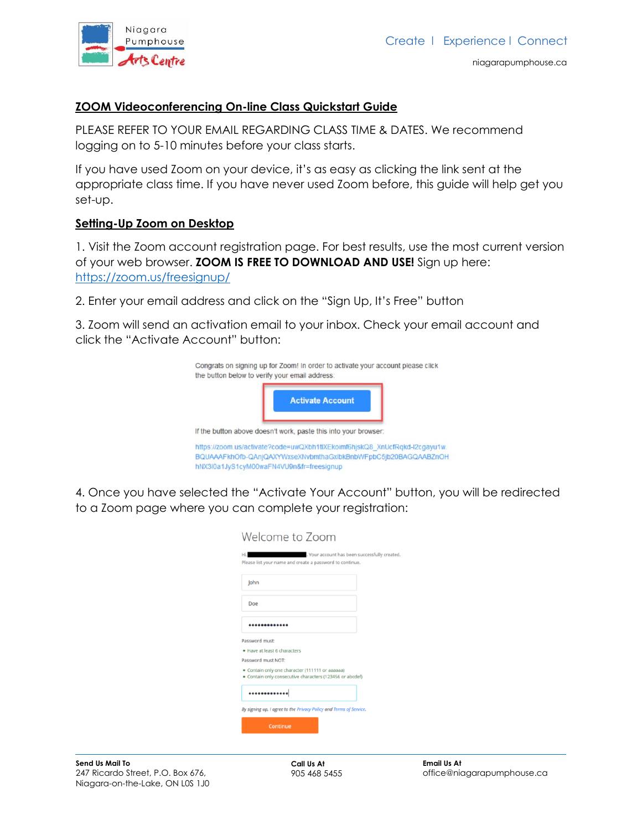

# **ZOOM Videoconferencing On-line Class Quickstart Guide**

PLEASE REFER TO YOUR EMAIL REGARDING CLASS TIME & DATES. We recommend logging on to 5-10 minutes before your class starts.

If you have used Zoom on your device, it's as easy as clicking the link sent at the appropriate class time. If you have never used Zoom before, this guide will help get you set-up.

### **Setting-Up Zoom on Desktop**

1. Visit the Zoom account registration page. For best results, use the most current version of your web browser. **ZOOM IS FREE TO DOWNLOAD AND USE!** Sign up here: <https://zoom.us/freesignup/>

2. Enter your email address and click on the "Sign Up, It's Free" button

hNX3l0a1JyS1cyM00waFN4VU9n&fr=freesignup

3. Zoom will send an activation email to your inbox. Check your email account and click the "Activate Account" button:

| Congrats on signing up for Zoom! In order to activate your account please click<br>the button below to verify your email address:            |  |
|----------------------------------------------------------------------------------------------------------------------------------------------|--|
| <b>Activate Account</b>                                                                                                                      |  |
| If the button above doesn't work, paste this into your browser.                                                                              |  |
| https://zoom.us/activate?code=uwQXbh1tlXEkoimf6hjskQ8_XnUcfRqkd-l2cqayu1w.<br>BQUAAAFkhOfb-QAniQAXYWxseXNvbmthaGxlbkBnbWFpbC5ib20BAGQAABZnOH |  |

4. Once you have selected the "Activate Your Account" button, you will be redirected to a Zoom page where you can complete your registration:

| Welcome to Zoom                                                                                                  |
|------------------------------------------------------------------------------------------------------------------|
| Hi.<br>. Your account has been successfully created.<br>Please list your name and create a password to continue. |
| John                                                                                                             |
| Doe                                                                                                              |
|                                                                                                                  |
|                                                                                                                  |
| Password must:                                                                                                   |
| · Have at least 6 characters                                                                                     |
| Password must NOT:                                                                                               |
| · Contain only one character (111111 or aaaaaa)<br>· Contain only consecutive characters (123456 or abcdef)      |
|                                                                                                                  |
| By signing up, I agree to the Privacy Policy and Terms of Service.                                               |
| Continue                                                                                                         |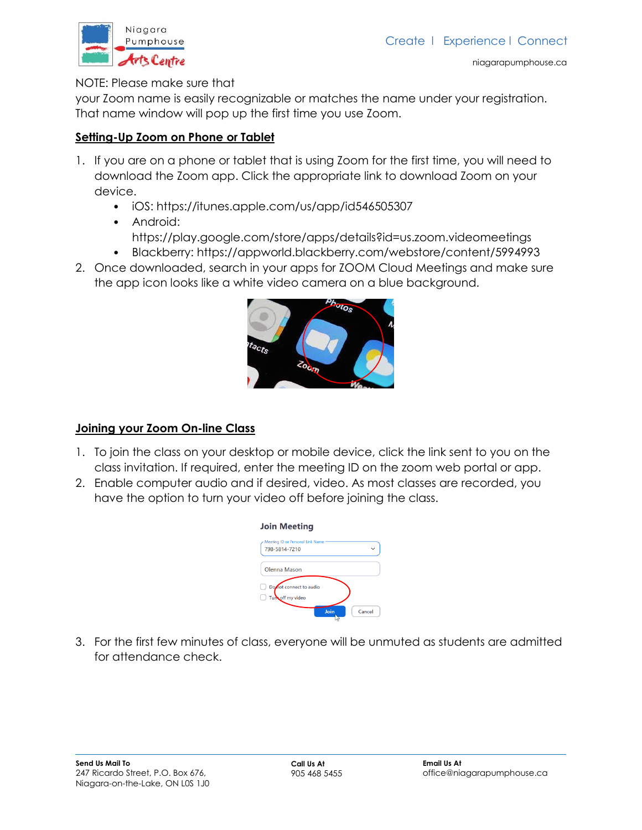

### NOTE: Please make sure that

your Zoom name is easily recognizable or matches the name under your registration. That name window will pop up the first time you use Zoom.

## **Setting-Up Zoom on Phone or Tablet**

- 1. If you are on a phone or tablet that is using Zoom for the first time, you will need to download the Zoom app. Click the appropriate link to download Zoom on your device.
	- iOS: https://itunes.apple.com/us/app/id546505307
	- Android: https://play.google.com/store/apps/details?id=us.zoom.videomeetings
	- Blackberry: https://appworld.blackberry.com/webstore/content/5994993
- 2. Once downloaded, search in your apps for ZOOM Cloud Meetings and make sure the app icon looks like a white video camera on a blue background.



# **Joining your Zoom On-line Class**

- 1. To join the class on your desktop or mobile device, click the link sent to you on the class invitation. If required, enter the meeting ID on the zoom web portal or app.
- 2. Enable computer audio and if desired, video. As most classes are recorded, you have the option to turn your video off before joining the class.

| <b>Join Meeting</b>                               |                |
|---------------------------------------------------|----------------|
| Meeting ID or Personal Link Name<br>798-5814-7210 |                |
| Olenna Mason                                      |                |
| Donot connect to audio<br>Turk off my video       | Join<br>Cancel |

3. For the first few minutes of class, everyone will be unmuted as students are admitted for attendance check.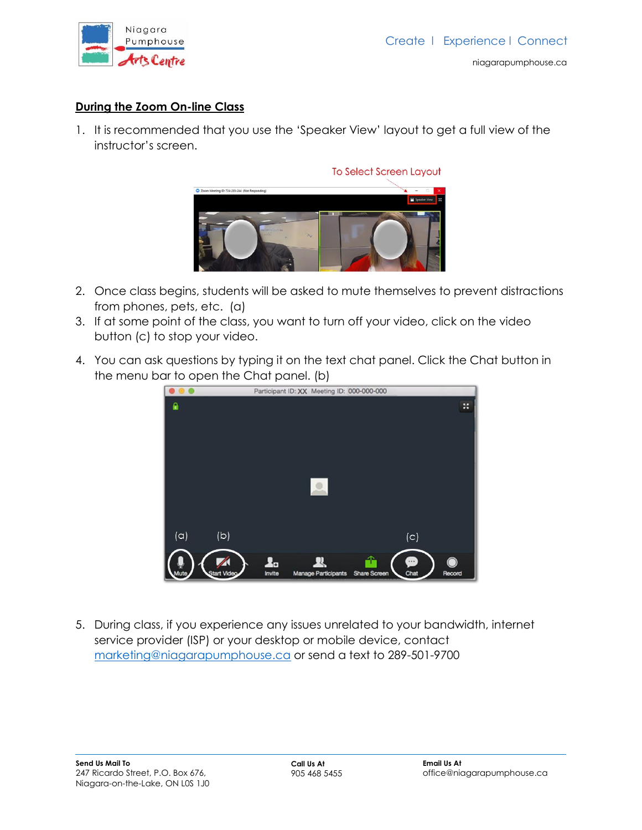

# **During the Zoom On-line Class**

1. It is recommended that you use the 'Speaker View' layout to get a full view of the instructor's screen.



- 2. Once class begins, students will be asked to mute themselves to prevent distractions from phones, pets, etc. (a)
- 3. If at some point of the class, you want to turn off your video, click on the video button (c) to stop your video.
- 4. You can ask questions by typing it on the text chat panel. Click the Chat button in the menu bar to open the Chat panel. (b)



5. During class, if you experience any issues unrelated to your bandwidth, internet service provider (ISP) or your desktop or mobile device, contact [marketing@niagarapumphouse.ca](mailto:marketing@niagarapumphouse.ca) or send a text to 289-501-9700